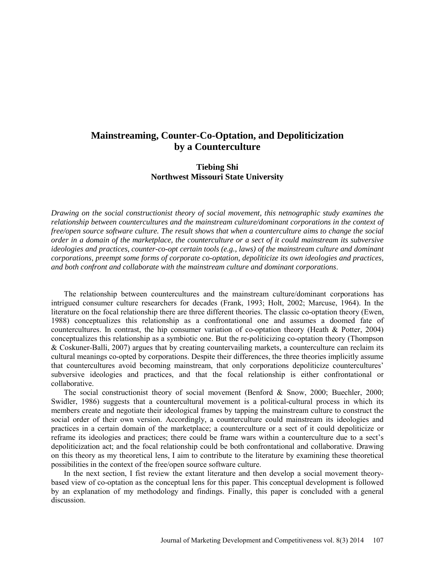# **Mainstreaming, Counter-Co-Optation, and Depoliticization by a Counterculture**

# **Tiebing Shi Northwest Missouri State University**

*Drawing on the social constructionist theory of social movement, this netnographic study examines the relationship between countercultures and the mainstream culture/dominant corporations in the context of free/open source software culture. The result shows that when a counterculture aims to change the social order in a domain of the marketplace, the counterculture or a sect of it could mainstream its subversive ideologies and practices, counter-co-opt certain tools (e.g., laws) of the mainstream culture and dominant corporations, preempt some forms of corporate co-optation, depoliticize its own ideologies and practices, and both confront and collaborate with the mainstream culture and dominant corporations*.

The relationship between countercultures and the mainstream culture/dominant corporations has intrigued consumer culture researchers for decades (Frank, 1993; Holt, 2002; Marcuse, 1964). In the literature on the focal relationship there are three different theories. The classic co-optation theory (Ewen, 1988) conceptualizes this relationship as a confrontational one and assumes a doomed fate of countercultures. In contrast, the hip consumer variation of co-optation theory (Heath & Potter, 2004) conceptualizes this relationship as a symbiotic one. But the re-politicizing co-optation theory (Thompson & Coskuner-Balli, 2007) argues that by creating countervailing markets, a counterculture can reclaim its cultural meanings co-opted by corporations. Despite their differences, the three theories implicitly assume that countercultures avoid becoming mainstream, that only corporations depoliticize countercultures' subversive ideologies and practices, and that the focal relationship is either confrontational or collaborative.

The social constructionist theory of social movement (Benford & Snow, 2000; Buechler, 2000; Swidler, 1986) suggests that a countercultural movement is a political-cultural process in which its members create and negotiate their ideological frames by tapping the mainstream culture to construct the social order of their own version. Accordingly, a counterculture could mainstream its ideologies and practices in a certain domain of the marketplace; a counterculture or a sect of it could depoliticize or reframe its ideologies and practices; there could be frame wars within a counterculture due to a sect's depoliticization act; and the focal relationship could be both confrontational and collaborative. Drawing on this theory as my theoretical lens, I aim to contribute to the literature by examining these theoretical possibilities in the context of the free/open source software culture.

In the next section, I fist review the extant literature and then develop a social movement theorybased view of co-optation as the conceptual lens for this paper. This conceptual development is followed by an explanation of my methodology and findings. Finally, this paper is concluded with a general discussion.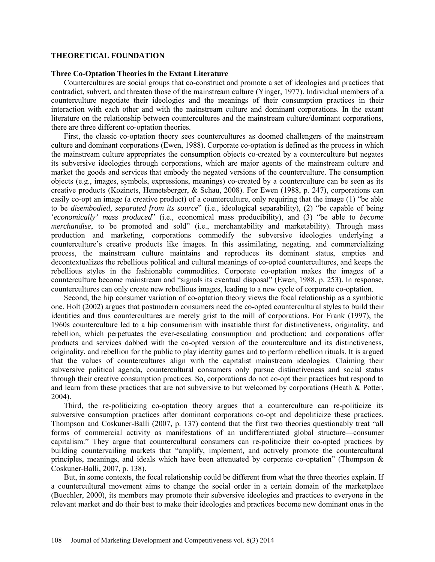#### **THEORETICAL FOUNDATION**

#### **Three Co-Optation Theories in the Extant Literature**

Countercultures are social groups that co-construct and promote a set of ideologies and practices that contradict, subvert, and threaten those of the mainstream culture (Yinger, 1977). Individual members of a counterculture negotiate their ideologies and the meanings of their consumption practices in their interaction with each other and with the mainstream culture and dominant corporations. In the extant literature on the relationship between countercultures and the mainstream culture/dominant corporations, there are three different co-optation theories.

First, the classic co-optation theory sees countercultures as doomed challengers of the mainstream culture and dominant corporations (Ewen, 1988). Corporate co-optation is defined as the process in which the mainstream culture appropriates the consumption objects co-created by a counterculture but negates its subversive ideologies through corporations, which are major agents of the mainstream culture and market the goods and services that embody the negated versions of the counterculture. The consumption objects (e.g., images, symbols, expressions, meanings) co-created by a counterculture can be seen as its creative products (Kozinets, Hemetsberger, & Schau, 2008). For Ewen (1988, p. 247), corporations can easily co-opt an image (a creative product) of a counterculture, only requiring that the image (1) "be able to be *disembodied, separated from its source*" (i.e., ideological separability), (2) "be capable of being '*economically' mass produced*" (i.e., economical mass producibility), and (3) "be able to *become merchandise*, to be promoted and sold" (i.e., merchantability and marketability). Through mass production and marketing, corporations commodify the subversive ideologies underlying a counterculture's creative products like images. In this assimilating, negating, and commercializing process, the mainstream culture maintains and reproduces its dominant status, empties and decontextualizes the rebellious political and cultural meanings of co-opted countercultures, and keeps the rebellious styles in the fashionable commodities. Corporate co-optation makes the images of a counterculture become mainstream and "signals its eventual disposal" (Ewen, 1988, p. 253). In response, countercultures can only create new rebellious images, leading to a new cycle of corporate co-optation.

Second, the hip consumer variation of co-optation theory views the focal relationship as a symbiotic one. Holt (2002) argues that postmodern consumers need the co-opted countercultural styles to build their identities and thus countercultures are merely grist to the mill of corporations. For Frank (1997), the 1960s counterculture led to a hip consumerism with insatiable thirst for distinctiveness, originality, and rebellion, which perpetuates the ever-escalating consumption and production; and corporations offer products and services dabbed with the co-opted version of the counterculture and its distinctiveness, originality, and rebellion for the public to play identity games and to perform rebellion rituals. It is argued that the values of countercultures align with the capitalist mainstream ideologies. Claiming their subversive political agenda, countercultural consumers only pursue distinctiveness and social status through their creative consumption practices. So, corporations do not co-opt their practices but respond to and learn from these practices that are not subversive to but welcomed by corporations (Heath & Potter, 2004).

Third, the re-politicizing co-optation theory argues that a counterculture can re-politicize its subversive consumption practices after dominant corporations co-opt and depoliticize these practices. Thompson and Coskuner-Balli (2007, p. 137) contend that the first two theories questionably treat "all forms of commercial activity as manifestations of an undifferentiated global structure—consumer capitalism." They argue that countercultural consumers can re-politicize their co-opted practices by building countervailing markets that "amplify, implement, and actively promote the countercultural principles, meanings, and ideals which have been attenuated by corporate co-optation" (Thompson  $\&$ Coskuner-Balli, 2007, p. 138).

But, in some contexts, the focal relationship could be different from what the three theories explain. If a countercultural movement aims to change the social order in a certain domain of the marketplace (Buechler, 2000), its members may promote their subversive ideologies and practices to everyone in the relevant market and do their best to make their ideologies and practices become new dominant ones in the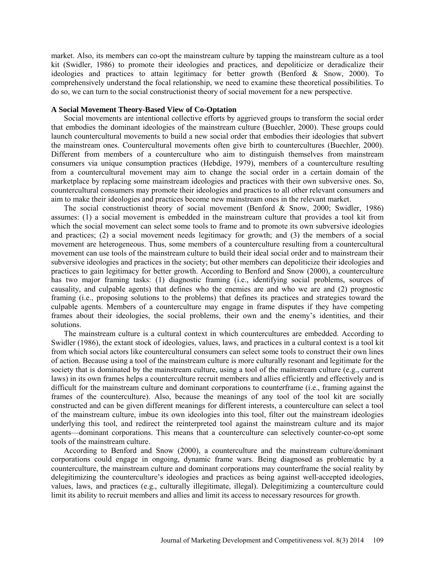market. Also, its members can co-opt the mainstream culture by tapping the mainstream culture as a tool kit (Swidler, 1986) to promote their ideologies and practices, and depoliticize or deradicalize their ideologies and practices to attain legitimacy for better growth (Benford & Snow, 2000). To comprehensively understand the focal relationship, we need to examine these theoretical possibilities. To do so, we can turn to the social constructionist theory of social movement for a new perspective.

### **A Social Movement Theory-Based View of Co-Optation**

Social movements are intentional collective efforts by aggrieved groups to transform the social order that embodies the dominant ideologies of the mainstream culture (Buechler, 2000). These groups could launch countercultural movements to build a new social order that embodies their ideologies that subvert the mainstream ones. Countercultural movements often give birth to countercultures (Buechler, 2000). Different from members of a counterculture who aim to distinguish themselves from mainstream consumers via unique consumption practices (Hebdige, 1979), members of a counterculture resulting from a countercultural movement may aim to change the social order in a certain domain of the marketplace by replacing some mainstream ideologies and practices with their own subversive ones. So, countercultural consumers may promote their ideologies and practices to all other relevant consumers and aim to make their ideologies and practices become new mainstream ones in the relevant market.

The social constructionist theory of social movement (Benford & Snow, 2000; Swidler, 1986) assumes: (1) a social movement is embedded in the mainstream culture that provides a tool kit from which the social movement can select some tools to frame and to promote its own subversive ideologies and practices; (2) a social movement needs legitimacy for growth; and (3) the members of a social movement are heterogeneous. Thus, some members of a counterculture resulting from a countercultural movement can use tools of the mainstream culture to build their ideal social order and to mainstream their subversive ideologies and practices in the society; but other members can depoliticize their ideologies and practices to gain legitimacy for better growth. According to Benford and Snow (2000), a counterculture has two major framing tasks: (1) diagnostic framing (i.e., identifying social problems, sources of causality, and culpable agents) that defines who the enemies are and who we are and (2) prognostic framing (i.e., proposing solutions to the problems) that defines its practices and strategies toward the culpable agents. Members of a counterculture may engage in frame disputes if they have competing frames about their ideologies, the social problems, their own and the enemy's identities, and their solutions.

The mainstream culture is a cultural context in which countercultures are embedded. According to Swidler (1986), the extant stock of ideologies, values, laws, and practices in a cultural context is a tool kit from which social actors like countercultural consumers can select some tools to construct their own lines of action. Because using a tool of the mainstream culture is more culturally resonant and legitimate for the society that is dominated by the mainstream culture, using a tool of the mainstream culture (e.g., current laws) in its own frames helps a counterculture recruit members and allies efficiently and effectively and is difficult for the mainstream culture and dominant corporations to counterframe (i.e., framing against the frames of the counterculture). Also, because the meanings of any tool of the tool kit are socially constructed and can be given different meanings for different interests, a counterculture can select a tool of the mainstream culture, imbue its own ideologies into this tool, filter out the mainstream ideologies underlying this tool, and redirect the reinterpreted tool against the mainstream culture and its major agents—dominant corporations. This means that a counterculture can selectively counter-co-opt some tools of the mainstream culture.

According to Benford and Snow (2000), a counterculture and the mainstream culture/dominant corporations could engage in ongoing, dynamic frame wars. Being diagnosed as problematic by a counterculture, the mainstream culture and dominant corporations may counterframe the social reality by delegitimizing the counterculture's ideologies and practices as being against well-accepted ideologies, values, laws, and practices (e.g., culturally illegitimate, illegal). Delegitimizing a counterculture could limit its ability to recruit members and allies and limit its access to necessary resources for growth.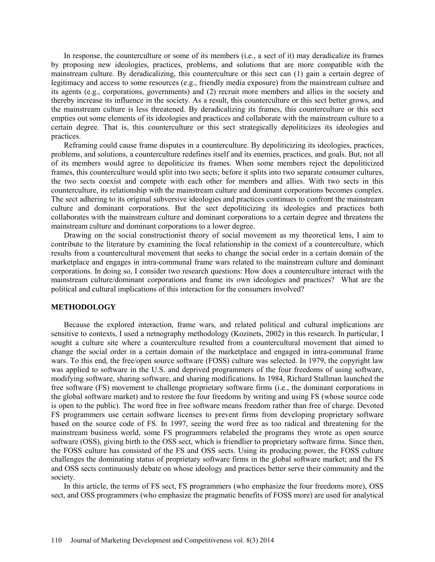In response, the counterculture or some of its members (i.e., a sect of it) may deradicalize its frames by proposing new ideologies, practices, problems, and solutions that are more compatible with the mainstream culture. By deradicalizing, this counterculture or this sect can (1) gain a certain degree of legitimacy and access to some resources (e.g., friendly media exposure) from the mainstream culture and its agents (e.g., corporations, governments) and (2) recruit more members and allies in the society and thereby increase its influence in the society. As a result, this counterculture or this sect better grows, and the mainstream culture is less threatened. By deradicalizing its frames, this counterculture or this sect empties out some elements of its ideologies and practices and collaborate with the mainstream culture to a certain degree. That is, this counterculture or this sect strategically depoliticizes its ideologies and practices.

Reframing could cause frame disputes in a counterculture. By depoliticizing its ideologies, practices, problems, and solutions, a counterculture redefines itself and its enemies, practices, and goals. But, not all of its members would agree to depoliticize its frames. When some members reject the depoliticized frames, this counterculture would split into two sects; before it splits into two separate consumer cultures, the two sects coexist and compete with each other for members and allies. With two sects in this counterculture, its relationship with the mainstream culture and dominant corporations becomes complex. The sect adhering to its original subversive ideologies and practices continues to confront the mainstream culture and dominant corporations. But the sect depoliticizing its ideologies and practices both collaborates with the mainstream culture and dominant corporations to a certain degree and threatens the mainstream culture and dominant corporations to a lower degree.

Drawing on the social constructionist theory of social movement as my theoretical lens, I aim to contribute to the literature by examining the focal relationship in the context of a counterculture, which results from a countercultural movement that seeks to change the social order in a certain domain of the marketplace and engages in intra-communal frame wars related to the mainstream culture and dominant corporations. In doing so, I consider two research questions: How does a counterculture interact with the mainstream culture/dominant corporations and frame its own ideologies and practices? What are the political and cultural implications of this interaction for the consumers involved?

#### **METHODOLOGY**

Because the explored interaction, frame wars, and related political and cultural implications are sensitive to contexts, I used a netnography methodology (Kozinets, 2002) in this research. In particular, I sought a culture site where a counterculture resulted from a countercultural movement that aimed to change the social order in a certain domain of the marketplace and engaged in intra-communal frame wars. To this end, the free/open source software (FOSS) culture was selected. In 1979, the copyright law was applied to software in the U.S. and deprived programmers of the four freedoms of using software, modifying software, sharing software, and sharing modifications. In 1984, Richard Stallman launched the free software (FS) movement to challenge proprietary software firms (i.e., the dominant corporations in the global software market) and to restore the four freedoms by writing and using FS (whose source code is open to the public). The word free in free software means freedom rather than free of charge. Devoted FS programmers use certain software licenses to prevent firms from developing proprietary software based on the source code of FS. In 1997, seeing the word free as too radical and threatening for the mainstream business world, some FS programmers relabeled the programs they wrote as open source software (OSS), giving birth to the OSS sect, which is friendlier to proprietary software firms. Since then, the FOSS culture has consisted of the FS and OSS sects. Using its producing power, the FOSS culture challenges the dominating status of proprietary software firms in the global software market; and the FS and OSS sects continuously debate on whose ideology and practices better serve their community and the society.

In this article, the terms of FS sect, FS programmers (who emphasize the four freedoms more), OSS sect, and OSS programmers (who emphasize the pragmatic benefits of FOSS more) are used for analytical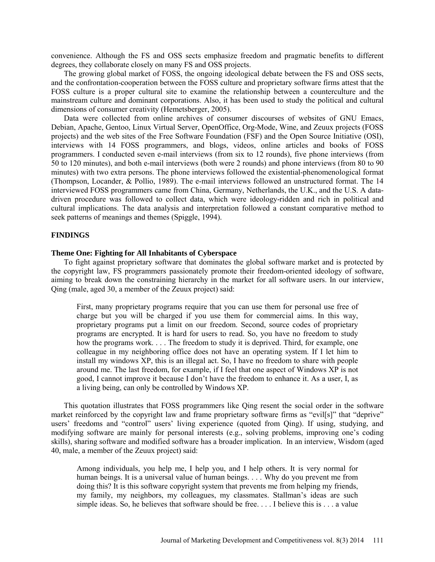convenience. Although the FS and OSS sects emphasize freedom and pragmatic benefits to different degrees, they collaborate closely on many FS and OSS projects.

The growing global market of FOSS, the ongoing ideological debate between the FS and OSS sects, and the confrontation-cooperation between the FOSS culture and proprietary software firms attest that the FOSS culture is a proper cultural site to examine the relationship between a counterculture and the mainstream culture and dominant corporations. Also, it has been used to study the political and cultural dimensions of consumer creativity (Hemetsberger, 2005).

Data were collected from online archives of consumer discourses of websites of GNU Emacs, Debian, Apache, Gentoo, Linux Virtual Server, OpenOffice, Org-Mode, Wine, and Zeuux projects (FOSS projects) and the web sites of the Free Software Foundation (FSF) and the Open Source Initiative (OSI), interviews with 14 FOSS programmers, and blogs, videos, online articles and books of FOSS programmers. I conducted seven e-mail interviews (from six to 12 rounds), five phone interviews (from 50 to 120 minutes), and both e-mail interviews (both were 2 rounds) and phone interviews (from 80 to 90 minutes) with two extra persons. The phone interviews followed the existential-phenomenological format (Thompson, Locander, & Pollio, 1989). The e-mail interviews followed an unstructured format. The 14 interviewed FOSS programmers came from China, Germany, Netherlands, the U.K., and the U.S. A datadriven procedure was followed to collect data, which were ideology-ridden and rich in political and cultural implications. The data analysis and interpretation followed a constant comparative method to seek patterns of meanings and themes (Spiggle, 1994).

## **FINDINGS**

## **Theme One: Fighting for All Inhabitants of Cyberspace**

To fight against proprietary software that dominates the global software market and is protected by the copyright law, FS programmers passionately promote their freedom-oriented ideology of software, aiming to break down the constraining hierarchy in the market for all software users. In our interview, Qing (male, aged 30, a member of the Zeuux project) said:

First, many proprietary programs require that you can use them for personal use free of charge but you will be charged if you use them for commercial aims. In this way, proprietary programs put a limit on our freedom. Second, source codes of proprietary programs are encrypted. It is hard for users to read. So, you have no freedom to study how the programs work. . . . The freedom to study it is deprived. Third, for example, one colleague in my neighboring office does not have an operating system. If I let him to install my windows XP, this is an illegal act. So, I have no freedom to share with people around me. The last freedom, for example, if I feel that one aspect of Windows XP is not good, I cannot improve it because I don't have the freedom to enhance it. As a user, I, as a living being, can only be controlled by Windows XP.

This quotation illustrates that FOSS programmers like Qing resent the social order in the software market reinforced by the copyright law and frame proprietary software firms as "evil[s]" that "deprive" users' freedoms and "control" users' living experience (quoted from Qing). If using, studying, and modifying software are mainly for personal interests (e.g., solving problems, improving one's coding skills), sharing software and modified software has a broader implication. In an interview, Wisdom (aged 40, male, a member of the Zeuux project) said:

Among individuals, you help me, I help you, and I help others. It is very normal for human beings. It is a universal value of human beings. . . . Why do you prevent me from doing this? It is this software copyright system that prevents me from helping my friends, my family, my neighbors, my colleagues, my classmates. Stallman's ideas are such simple ideas. So, he believes that software should be free. . . . I believe this is . . . a value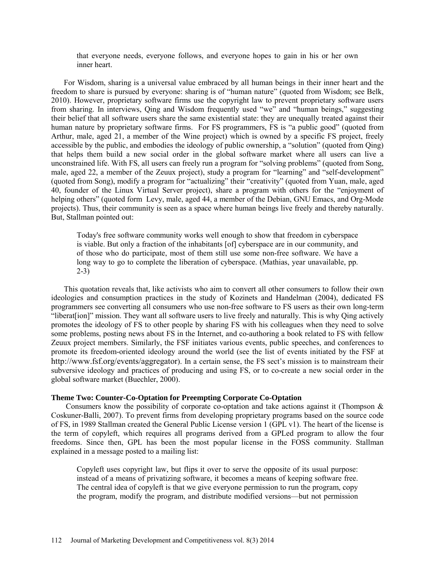that everyone needs, everyone follows, and everyone hopes to gain in his or her own inner heart.

For Wisdom, sharing is a universal value embraced by all human beings in their inner heart and the freedom to share is pursued by everyone: sharing is of "human nature" (quoted from Wisdom; see Belk, 2010). However, proprietary software firms use the copyright law to prevent proprietary software users from sharing. In interviews, Qing and Wisdom frequently used "we" and "human beings," suggesting their belief that all software users share the same existential state: they are unequally treated against their human nature by proprietary software firms. For FS programmers, FS is "a public good" (quoted from Arthur, male, aged 21, a member of the Wine project) which is owned by a specific FS project, freely accessible by the public, and embodies the ideology of public ownership, a "solution" (quoted from Qing) that helps them build a new social order in the global software market where all users can live a unconstrained life. With FS, all users can freely run a program for "solving problems" (quoted from Song, male, aged 22, a member of the Zeuux project), study a program for "learning" and "self-development" (quoted from Song), modify a program for "actualizing" their "creativity" (quoted from Yuan, male, aged 40, founder of the Linux Virtual Server project), share a program with others for the "enjoyment of helping others" (quoted form Levy, male, aged 44, a member of the Debian, GNU Emacs, and Org-Mode projects). Thus, their community is seen as a space where human beings live freely and thereby naturally. But, Stallman pointed out:

Today's free software community works well enough to show that freedom in cyberspace is viable. But only a fraction of the inhabitants [of] cyberspace are in our community, and of those who do participate, most of them still use some non-free software. We have a long way to go to complete the liberation of cyberspace. (Mathias, year unavailable, pp. 2-3)

This quotation reveals that, like activists who aim to convert all other consumers to follow their own ideologies and consumption practices in the study of Kozinets and Handelman (2004), dedicated FS programmers see converting all consumers who use non-free software to FS users as their own long-term "liberat[ion]" mission. They want all software users to live freely and naturally. This is why Qing actively promotes the ideology of FS to other people by sharing FS with his colleagues when they need to solve some problems, posting news about FS in the Internet, and co-authoring a book related to FS with fellow Zeuux project members. Similarly, the FSF initiates various events, public speeches, and conferences to promote its freedom-oriented ideology around the world (see the list of events initiated by the FSF at [http://www.fsf.org/events/aggregator\)](http://www.fsf.org/events/aggregator). In a certain sense, the FS sect's mission is to mainstream their subversive ideology and practices of producing and using FS, or to co-create a new social order in the global software market (Buechler, 2000).

#### **Theme Two: Counter-Co-Optation for Preempting Corporate Co-Optation**

Consumers know the possibility of corporate co-optation and take actions against it (Thompson  $\&$ Coskuner-Balli, 2007). To prevent firms from developing proprietary programs based on the source code of FS, in 1989 Stallman created the General Public License version 1 (GPL v1). The heart of the license is the term of copyleft, which requires all programs derived from a GPLed program to allow the four freedoms. Since then, GPL has been the most popular license in the FOSS community. Stallman explained in a message posted to a mailing list:

Copyleft uses copyright law, but flips it over to serve the opposite of its usual purpose: instead of a means of privatizing software, it becomes a means of keeping software free. The central idea of copyleft is that we give everyone permission to run the program, copy the program, modify the program, and distribute modified versions—but not permission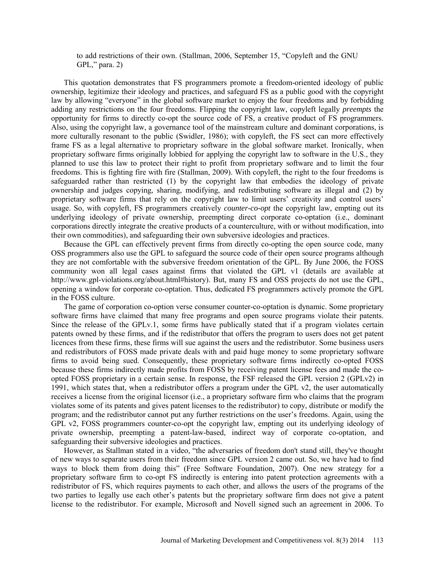to add restrictions of their own. (Stallman, 2006, September 15, "Copyleft and the GNU GPL," para. 2)

This quotation demonstrates that FS programmers promote a freedom-oriented ideology of public ownership, legitimize their ideology and practices, and safeguard FS as a public good with the copyright law by allowing "everyone" in the global software market to enjoy the four freedoms and by forbidding adding any restrictions on the four freedoms. Flipping the copyright law, copyleft legally *preempts* the opportunity for firms to directly co-opt the source code of FS, a creative product of FS programmers. Also, using the copyright law, a governance tool of the mainstream culture and dominant corporations, is more culturally resonant to the public (Swidler, 1986); with copyleft, the FS sect can more effectively frame FS as a legal alternative to proprietary software in the global software market. Ironically, when proprietary software firms originally lobbied for applying the copyright law to software in the U.S., they planned to use this law to protect their right to profit from proprietary software and to limit the four freedoms. This is fighting fire with fire (Stallman, 2009). With copyleft, the right to the four freedoms is safeguarded rather than restricted (1) by the copyright law that embodies the ideology of private ownership and judges copying, sharing, modifying, and redistributing software as illegal and (2) by proprietary software firms that rely on the copyright law to limit users' creativity and control users' usage. So, with copyleft, FS programmers creatively *counter-co-opt* the copyright law, empting out its underlying ideology of private ownership, preempting direct corporate co-optation (i.e., dominant corporations directly integrate the creative products of a counterculture, with or without modification, into their own commodities), and safeguarding their own subversive ideologies and practices.

Because the GPL can effectively prevent firms from directly co-opting the open source code, many OSS programmers also use the GPL to safeguard the source code of their open source programs although they are not comfortable with the subversive freedom orientation of the GPL. By June 2006, the FOSS community won all legal cases against firms that violated the GPL v1 (details are available at http://www.gpl-violations.org/about.html#history). But, many FS and OSS projects do not use the GPL, opening a window for corporate co-optation. Thus, dedicated FS programmers actively promote the GPL in the FOSS culture.

The game of corporation co-option verse consumer counter-co-optation is dynamic. Some proprietary software firms have claimed that many free programs and open source programs violate their patents. Since the release of the GPLv.1, some firms have publically stated that if a program violates certain patents owned by these firms, and if the redistributor that offers the program to users does not get patent licences from these firms, these firms will sue against the users and the redistributor. Some business users and redistributors of FOSS made private deals with and paid huge money to some proprietary software firms to avoid being sued. Consequently, these proprietary software firms indirectly co-opted FOSS because these firms indirectly made profits from FOSS by receiving patent license fees and made the coopted FOSS proprietary in a certain sense. In response, the FSF released the GPL version 2 (GPLv2) in 1991, which states that, when a redistributor offers a program under the GPL v2, the user automatically receives a license from the original licensor (i.e., a proprietary software firm who claims that the program violates some of its patents and gives patent licenses to the redistributor) to copy, distribute or modify the program; and the redistributor cannot put any further restrictions on the user's freedoms. Again, using the GPL v2, FOSS programmers counter-co-opt the copyright law, empting out its underlying ideology of private ownership, preempting a patent-law-based, indirect way of corporate co-optation, and safeguarding their subversive ideologies and practices.

However, as Stallman stated in a video, "the adversaries of freedom don't stand still, they've thought of new ways to separate users from their freedom since GPL version 2 came out. So, we have had to find ways to block them from doing this" (Free Software Foundation, 2007). One new strategy for a proprietary software firm to co-opt FS indirectly is entering into patent protection agreements with a redistributor of FS, which requires payments to each other, and allows the users of the programs of the two parties to legally use each other's patents but the proprietary software firm does not give a patent license to the redistributor. For example, Microsoft and Novell signed such an agreement in 2006. To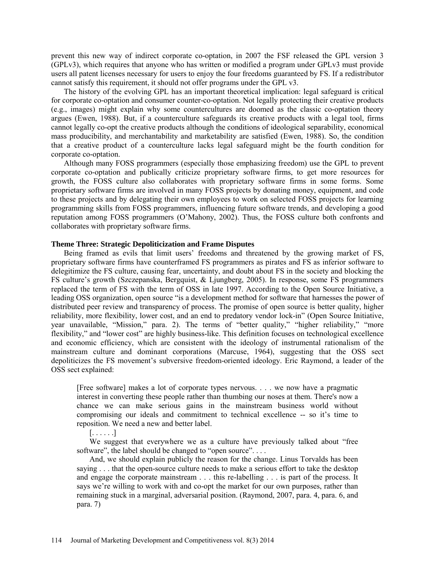prevent this new way of indirect corporate co-optation, in 2007 the FSF released the GPL version 3 (GPLv3), which requires that anyone who has written or modified a program under GPLv3 must provide users all patent licenses necessary for users to enjoy the four freedoms guaranteed by FS. If a redistributor cannot satisfy this requirement, it should not offer programs under the GPL v3.

The history of the evolving GPL has an important theoretical implication: legal safeguard is critical for corporate co-optation and consumer counter-co-optation. Not legally protecting their creative products (e.g., images) might explain why some countercultures are doomed as the classic co-optation theory argues (Ewen, 1988). But, if a counterculture safeguards its creative products with a legal tool, firms cannot legally co-opt the creative products although the conditions of ideological separability, economical mass producibility, and merchantability and marketability are satisfied (Ewen, 1988). So, the condition that a creative product of a counterculture lacks legal safeguard might be the fourth condition for corporate co-optation.

Although many FOSS programmers (especially those emphasizing freedom) use the GPL to prevent corporate co-optation and publically criticize proprietary software firms, to get more resources for growth, the FOSS culture also collaborates with proprietary software firms in some forms. Some proprietary software firms are involved in many FOSS projects by donating money, equipment, and code to these projects and by delegating their own employees to work on selected FOSS projects for learning programming skills from FOSS programmers, influencing future software trends, and developing a good reputation among FOSS programmers (O'Mahony, 2002). Thus, the FOSS culture both confronts and collaborates with proprietary software firms.

#### **Theme Three: Strategic Depoliticization and Frame Disputes**

Being framed as evils that limit users' freedoms and threatened by the growing market of FS, proprietary software firms have counterframed FS programmers as pirates and FS as inferior software to delegitimize the FS culture, causing fear, uncertainty, and doubt about FS in the society and blocking the FS culture's growth (Szczepanska, Bergquist, & Ljungberg, 2005). In response, some FS programmers replaced the term of FS with the term of OSS in late 1997. According to the Open Source Initiative, a leading OSS organization, open source "is a development method for software that harnesses the power of distributed peer review and transparency of process. The promise of open source is better quality, higher reliability, more flexibility, lower cost, and an end to predatory vendor lock-in" (Open Source Initiative, year unavailable, "Mission," para. 2). The terms of "better quality," "higher reliability," "more flexibility," and "lower cost" are highly business-like. This definition focuses on technological excellence and economic efficiency, which are consistent with the ideology of instrumental rationalism of the mainstream culture and dominant corporations (Marcuse, 1964), suggesting that the OSS sect depoliticizes the FS movement's subversive freedom-oriented ideology. Eric Raymond, a leader of the OSS sect explained:

[Free software] makes a lot of corporate types nervous. . . . we now have a pragmatic interest in converting these people rather than thumbing our noses at them. There's now a chance we can make serious gains in the mainstream business world without compromising our ideals and commitment to technical excellence -- so it's time to reposition. We need a new and better label.

[. . . . . .]

We suggest that everywhere we as a culture have previously talked about "free software", the label should be changed to "open source"....

And, we should explain publicly the reason for the change. Linus Torvalds has been saying . . . that the open-source culture needs to make a serious effort to take the desktop and engage the corporate mainstream . . . this re-labelling . . . is part of the process. It says we're willing to work with and co-opt the market for our own purposes, rather than remaining stuck in a marginal, adversarial position. (Raymond, 2007, para. 4, para. 6, and para. 7)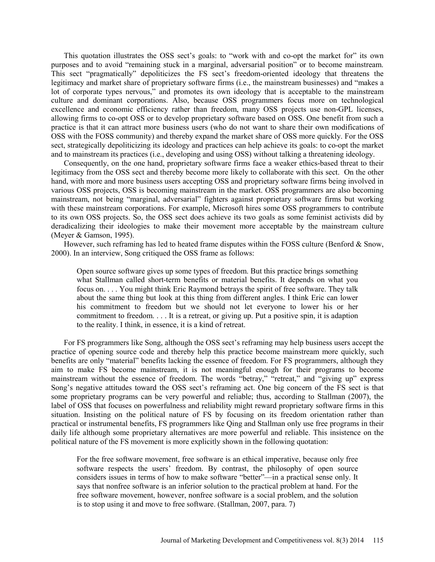This quotation illustrates the OSS sect's goals: to "work with and co-opt the market for" its own purposes and to avoid "remaining stuck in a marginal, adversarial position" or to become mainstream. This sect "pragmatically" depoliticizes the FS sect's freedom-oriented ideology that threatens the legitimacy and market share of proprietary software firms (i.e., the mainstream businesses) and "makes a lot of corporate types nervous," and promotes its own ideology that is acceptable to the mainstream culture and dominant corporations. Also, because OSS programmers focus more on technological excellence and economic efficiency rather than freedom, many OSS projects use non-GPL licenses, allowing firms to co-opt OSS or to develop proprietary software based on OSS. One benefit from such a practice is that it can attract more business users (who do not want to share their own modifications of OSS with the FOSS community) and thereby expand the market share of OSS more quickly. For the OSS sect, strategically depoliticizing its ideology and practices can help achieve its goals: to co-opt the market and to mainstream its practices (i.e., developing and using OSS) without talking a threatening ideology.

Consequently, on the one hand, proprietary software firms face a weaker ethics-based threat to their legitimacy from the OSS sect and thereby become more likely to collaborate with this sect. On the other hand, with more and more business users accepting OSS and proprietary software firms being involved in various OSS projects, OSS is becoming mainstream in the market. OSS programmers are also becoming mainstream, not being "marginal, adversarial" fighters against proprietary software firms but working with these mainstream corporations. For example, Microsoft hires some OSS programmers to contribute to its own OSS projects. So, the OSS sect does achieve its two goals as some feminist activists did by deradicalizing their ideologies to make their movement more acceptable by the mainstream culture (Meyer & Gamson, 1995).

However, such reframing has led to heated frame disputes within the FOSS culture (Benford  $\&$  Snow, 2000). In an interview, Song critiqued the OSS frame as follows:

Open source software gives up some types of freedom. But this practice brings something what Stallman called short-term benefits or material benefits. It depends on what you focus on. . . . You might think Eric Raymond betrays the spirit of free software. They talk about the same thing but look at this thing from different angles. I think Eric can lower his commitment to freedom but we should not let everyone to lower his or her commitment to freedom. . . . It is a retreat, or giving up. Put a positive spin, it is adaption to the reality. I think, in essence, it is a kind of retreat.

For FS programmers like Song, although the OSS sect's reframing may help business users accept the practice of opening source code and thereby help this practice become mainstream more quickly, such benefits are only "material" benefits lacking the essence of freedom. For FS programmers, although they aim to make FS become mainstream, it is not meaningful enough for their programs to become mainstream without the essence of freedom. The words "betray," "retreat," and "giving up" express Song's negative attitudes toward the OSS sect's reframing act. One big concern of the FS sect is that some proprietary programs can be very powerful and reliable; thus, according to Stallman (2007), the label of OSS that focuses on powerfulness and reliability might reward proprietary software firms in this situation. Insisting on the political nature of FS by focusing on its freedom orientation rather than practical or instrumental benefits, FS programmers like Qing and Stallman only use free programs in their daily life although some proprietary alternatives are more powerful and reliable. This insistence on the political nature of the FS movement is more explicitly shown in the following quotation:

For the free software movement, free software is an ethical imperative, because only free software respects the users' freedom. By contrast, the philosophy of open source considers issues in terms of how to make software "better"—in a practical sense only. It says that nonfree software is an inferior solution to the practical problem at hand. For the free software movement, however, nonfree software is a social problem, and the solution is to stop using it and move to free software. (Stallman, 2007, para. 7)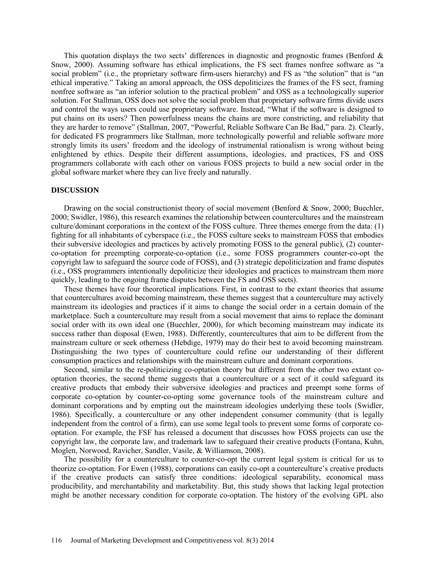This quotation displays the two sects' differences in diagnostic and prognostic frames (Benford  $\&$ Snow, 2000). Assuming software has ethical implications, the FS sect frames nonfree software as "a social problem" (i.e., the proprietary software firm-users hierarchy) and FS as "the solution" that is "an ethical imperative." Taking an amoral approach, the OSS depoliticizes the frames of the FS sect, framing nonfree software as "an inferior solution to the practical problem" and OSS as a technologically superior solution. For Stallman, OSS does not solve the social problem that proprietary software firms divide users and control the ways users could use proprietary software. Instead, "What if the software is designed to put chains on its users? Then powerfulness means the chains are more constricting, and reliability that they are harder to remove" (Stallman, 2007, "Powerful, Reliable Software Can Be Bad," para. 2). Clearly, for dedicated FS programmers like Stallman, more technologically powerful and reliable software more strongly limits its users' freedom and the ideology of instrumental rationalism is wrong without being enlightened by ethics. Despite their different assumptions, ideologies, and practices, FS and OSS programmers collaborate with each other on various FOSS projects to build a new social order in the global software market where they can live freely and naturally.

#### **DISCUSSION**

Drawing on the social constructionist theory of social movement (Benford & Snow, 2000; Buechler, 2000; Swidler, 1986), this research examines the relationship between countercultures and the mainstream culture/dominant corporations in the context of the FOSS culture. Three themes emerge from the data: (1) fighting for all inhabitants of cyberspace (i.e., the FOSS culture seeks to mainstream FOSS that embodies their subversive ideologies and practices by actively promoting FOSS to the general public), (2) counterco-optation for preempting corporate-co-optation (i.e., some FOSS programmers counter-co-opt the copyright law to safeguard the source code of FOSS), and (3) strategic depoliticization and frame disputes (i.e., OSS programmers intentionally depoliticize their ideologies and practices to mainstream them more quickly, leading to the ongoing frame disputes between the FS and OSS sects).

These themes have four theoretical implications. First, in contrast to the extant theories that assume that countercultures avoid becoming mainstream, these themes suggest that a counterculture may actively mainstream its ideologies and practices if it aims to change the social order in a certain domain of the marketplace. Such a counterculture may result from a social movement that aims to replace the dominant social order with its own ideal one (Buechler, 2000), for which becoming mainstream may indicate its success rather than disposal (Ewen, 1988). Differently, countercultures that aim to be different from the mainstream culture or seek otherness (Hebdige, 1979) may do their best to avoid becoming mainstream. Distinguishing the two types of counterculture could refine our understanding of their different consumption practices and relationships with the mainstream culture and dominant corporations.

Second, similar to the re-politicizing co-optation theory but different from the other two extant cooptation theories, the second theme suggests that a counterculture or a sect of it could safeguard its creative products that embody their subversive ideologies and practices and preempt some forms of corporate co-optation by counter-co-opting some governance tools of the mainstream culture and dominant corporations and by empting out the mainstream ideologies underlying these tools (Swidler, 1986). Specifically, a counterculture or any other independent consumer community (that is legally independent from the control of a firm), can use some legal tools to prevent some forms of corporate cooptation. For example, the FSF has released a document that discusses how FOSS projects can use the copyright law, the corporate law, and trademark law to safeguard their creative products (Fontana, Kuhn, Moglen, Norwood, Ravicher, Sandler, Vasile, & Williamson, 2008).

The possibility for a counterculture to counter-co-opt the current legal system is critical for us to theorize co-optation. For Ewen (1988), corporations can easily co-opt a counterculture's creative products if the creative products can satisfy three conditions: ideological separability, economical mass producibility, and merchantability and marketability. But, this study shows that lacking legal protection might be another necessary condition for corporate co-optation. The history of the evolving GPL also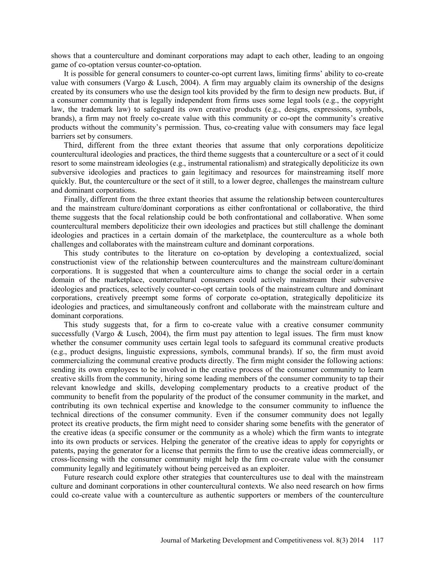shows that a counterculture and dominant corporations may adapt to each other, leading to an ongoing game of co-optation versus counter-co-optation.

It is possible for general consumers to counter-co-opt current laws, limiting firms' ability to co-create value with consumers (Vargo & Lusch, 2004). A firm may arguably claim its ownership of the designs created by its consumers who use the design tool kits provided by the firm to design new products. But, if a consumer community that is legally independent from firms uses some legal tools (e.g., the copyright law, the trademark law) to safeguard its own creative products (e.g., designs, expressions, symbols, brands), a firm may not freely co-create value with this community or co-opt the community's creative products without the community's permission. Thus, co-creating value with consumers may face legal barriers set by consumers.

Third, different from the three extant theories that assume that only corporations depoliticize countercultural ideologies and practices, the third theme suggests that a counterculture or a sect of it could resort to some mainstream ideologies (e.g., instrumental rationalism) and strategically depoliticize its own subversive ideologies and practices to gain legitimacy and resources for mainstreaming itself more quickly. But, the counterculture or the sect of it still, to a lower degree, challenges the mainstream culture and dominant corporations.

Finally, different from the three extant theories that assume the relationship between countercultures and the mainstream culture/dominant corporations as either confrontational or collaborative, the third theme suggests that the focal relationship could be both confrontational and collaborative. When some countercultural members depoliticize their own ideologies and practices but still challenge the dominant ideologies and practices in a certain domain of the marketplace, the counterculture as a whole both challenges and collaborates with the mainstream culture and dominant corporations.

This study contributes to the literature on co-optation by developing a contextualized, social constructionist view of the relationship between countercultures and the mainstream culture/dominant corporations. It is suggested that when a counterculture aims to change the social order in a certain domain of the marketplace, countercultural consumers could actively mainstream their subversive ideologies and practices, selectively counter-co-opt certain tools of the mainstream culture and dominant corporations, creatively preempt some forms of corporate co-optation, strategically depoliticize its ideologies and practices, and simultaneously confront and collaborate with the mainstream culture and dominant corporations.

This study suggests that, for a firm to co-create value with a creative consumer community successfully (Vargo  $\&$  Lusch, 2004), the firm must pay attention to legal issues. The firm must know whether the consumer community uses certain legal tools to safeguard its communal creative products (e.g., product designs, linguistic expressions, symbols, communal brands). If so, the firm must avoid commercializing the communal creative products directly. The firm might consider the following actions: sending its own employees to be involved in the creative process of the consumer community to learn creative skills from the community, hiring some leading members of the consumer community to tap their relevant knowledge and skills, developing complementary products to a creative product of the community to benefit from the popularity of the product of the consumer community in the market, and contributing its own technical expertise and knowledge to the consumer community to influence the technical directions of the consumer community. Even if the consumer community does not legally protect its creative products, the firm might need to consider sharing some benefits with the generator of the creative ideas (a specific consumer or the community as a whole) which the firm wants to integrate into its own products or services. Helping the generator of the creative ideas to apply for copyrights or patents, paying the generator for a license that permits the firm to use the creative ideas commercially, or cross-licensing with the consumer community might help the firm co-create value with the consumer community legally and legitimately without being perceived as an exploiter.

Future research could explore other strategies that countercultures use to deal with the mainstream culture and dominant corporations in other countercultural contexts. We also need research on how firms could co-create value with a counterculture as authentic supporters or members of the counterculture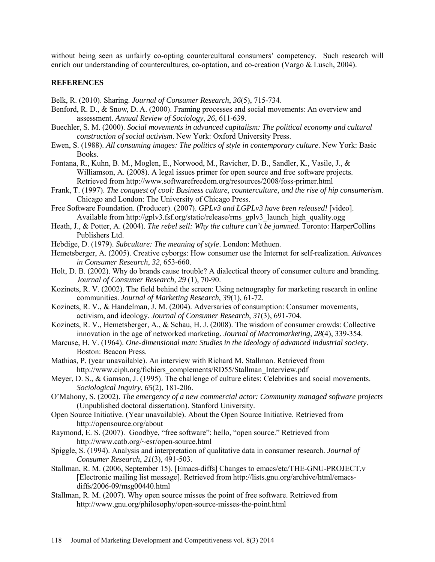without being seen as unfairly co-opting countercultural consumers' competency. Such research will enrich our understanding of countercultures, co-optation, and co-creation (Vargo & Lusch, 2004).

# **REFERENCES**

Belk, R. (2010). Sharing. *Journal of Consumer Research*, *36*(5), 715-734.

- Benford, R. D., & Snow, D. A. (2000). Framing processes and social movements: An overview and assessment. *Annual Review of Sociology*, *26*, 611-639.
- Buechler, S. M. (2000). *Social movements in advanced capitalism: The political economy and cultural construction of social activism*. New York: Oxford University Press.
- Ewen, S. (1988). *All consuming images: The politics of style in contemporary culture*. New York: Basic Books.
- Fontana, R., Kuhn, B. M., Moglen, E., Norwood, M., Ravicher, D. B., Sandler, K., Vasile, J., & Williamson, A. (2008). A legal issues primer for open source and free software projects. Retrieved from http://www.softwarefreedom.org/resources/2008/foss-primer.html
- Frank, T. (1997). *The conquest of cool: Business culture, counterculture, and the rise of hip consumerism*. Chicago and London: The University of Chicago Press.
- Free Software Foundation. (Producer). (2007). *GPLv3 and LGPLv3 have been released!* [video]. Available from http://gplv3.fsf.org/static/release/rms\_gplv3\_launch\_high\_quality.ogg
- Heath, J., & Potter, A. (2004). *The rebel sell: Why the culture can't be jammed*. Toronto: HarperCollins Publishers Ltd.
- Hebdige, D. (1979). *Subculture: The meaning of style*. London: Methuen.
- Hemetsberger, A. (2005). Creative cyborgs: How consumer use the Internet for self-realization. *Advances in Consumer Research*, *32*, 653-660.
- Holt, D. B. (2002). Why do brands cause trouble? A dialectical theory of consumer culture and branding. *Journal of Consumer Research*, *29* (1), 70-90.
- Kozinets, R. V. (2002). The field behind the screen: Using netnography for marketing research in online communities. *Journal of Marketing Research*, *39*(1), 61-72.
- Kozinets, R. V., & Handelman, J. M. (2004). Adversaries of consumption: Consumer movements, activism, and ideology. *Journal of Consumer Research*, *31*(3), 691-704.
- Kozinets, R. V., Hemetsberger, A., & Schau, H. J. (2008). The wisdom of consumer crowds: Collective innovation in the age of networked marketing. *Journal of Macromarketing*, *28*(4), 339-354.
- Marcuse, H. V. (1964). *One-dimensional man: Studies in the ideology of advanced industrial society*. Boston: Beacon Press.
- Mathias, P. (year unavailable). An interview with Richard M. Stallman. Retrieved from [http://www.ciph.org/fichiers\\_complements/RD55/Stallman\\_Interview.pdf](http://www.ciph.org/fichiers_complements/RD55/Stallman_Interview.pdf)
- Meyer, D. S., & Gamson, J. (1995). The challenge of culture elites: Celebrities and social movements. *Sociological Inquiry*, *65*(2), 181-206.
- O'Mahony, S. (2002). *The emergency of a new commercial actor: Community managed software projects* (Unpublished doctoral dissertation). Stanford University.
- Open Source Initiative. (Year unavailable). About the Open Source Initiative. Retrieved from <http://opensource.org/about>
- Raymond, E. S. (2007). Goodbye, "free software"; hello, "open source." Retrieved from <http://www.catb.org/~esr/open-source.html>
- Spiggle, S. (1994). Analysis and interpretation of qualitative data in consumer research. *Journal of Consumer Research*, *21*(3), 491-503.
- Stallman, R. M. (2006, September 15). [Emacs-diffs] Changes to emacs/etc/THE-GNU-PROJECT,v [Electronic mailing list message]. Retrieved from [http://lists.gnu.org/archive/html/emacs](http://lists.gnu.org/archive/html/emacs-diffs/2006-09/msg00440.html)[diffs/2006-09/msg00440.html](http://lists.gnu.org/archive/html/emacs-diffs/2006-09/msg00440.html)
- Stallman, R. M. (2007). Why open source misses the point of free software. Retrieved from http://www.gnu.org/philosophy/open-source-misses-the-point.html